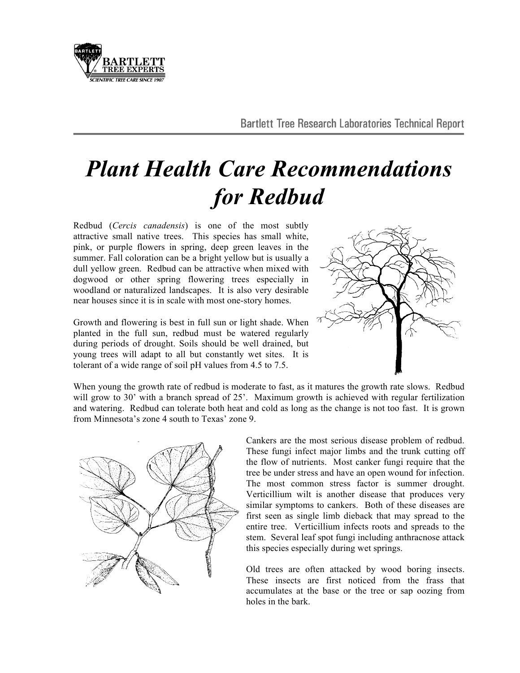

## *Plant Health Care Recommendations for Redbud*

Redbud (*Cercis canadensis*) is one of the most subtly attractive small native trees. This species has small white, pink, or purple flowers in spring, deep green leaves in the summer. Fall coloration can be a bright yellow but is usually a dull yellow green. Redbud can be attractive when mixed with dogwood or other spring flowering trees especially in woodland or naturalized landscapes. It is also very desirable near houses since it is in scale with most one-story homes.

Growth and flowering is best in full sun or light shade. When planted in the full sun, redbud must be watered regularly during periods of drought. Soils should be well drained, but young trees will adapt to all but constantly wet sites. It is tolerant of a wide range of soil pH values from 4.5 to 7.5.



When young the growth rate of redbud is moderate to fast, as it matures the growth rate slows. Redbud will grow to 30' with a branch spread of 25'. Maximum growth is achieved with regular fertilization and watering. Redbud can tolerate both heat and cold as long as the change is not too fast. It is grown from Minnesota's zone 4 south to Texas' zone 9.



Cankers are the most serious disease problem of redbud. These fungi infect major limbs and the trunk cutting off the flow of nutrients. Most canker fungi require that the tree be under stress and have an open wound for infection. The most common stress factor is summer drought. Verticillium wilt is another disease that produces very similar symptoms to cankers. Both of these diseases are first seen as single limb dieback that may spread to the entire tree. Verticillium infects roots and spreads to the stem. Several leaf spot fungi including anthracnose attack this species especially during wet springs.

Old trees are often attacked by wood boring insects. These insects are first noticed from the frass that accumulates at the base or the tree or sap oozing from holes in the bark.